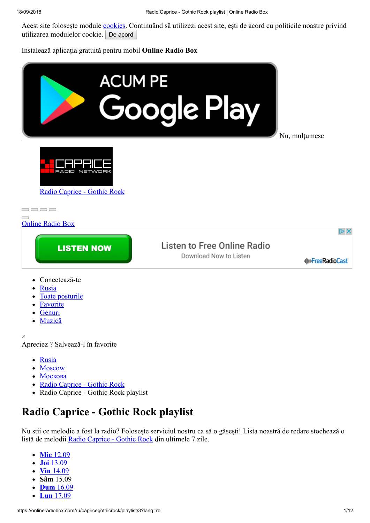Acest site folosește module [cookies.](https://onlineradiobox.com/privacy) Continuând să utilizezi acest site, ești de acord cu politicile noastre privind utilizarea modulelor cookie. De acord

Instalează aplicația gratuită pentru mobil **Online Radio Box**



- [Muzică](https://onlineradiobox.com/music/)
- ×

Apreciez ? Salvează-l în favorite

- [Rusia](https://onlineradiobox.com/ru/)
- [Moscow](https://onlineradiobox.com/ru/Moscow-/)
- [Москова](https://onlineradiobox.com/ru/Moscow)
- [Radio Caprice Gothic Rock](https://onlineradiobox.com/ru/capricegothicrock/)
- Radio Caprice Gothic Rock playlist  $\bullet$

## **Radio Caprice - Gothic Rock playlist**

Nu știi ce melodie a fost la radio? Folosește serviciul nostru ca să o găsești! Lista noastră de redare stochează o listă de melodii [Radio Caprice - Gothic Rock](https://onlineradiobox.com/ru/capricegothicrock/) din ultimele 7 zile.

- **Mie** [12.09](https://onlineradiobox.com/ru/capricegothicrock/playlist/6)
- **Joi** [13.09](https://onlineradiobox.com/ru/capricegothicrock/playlist/5)
- **Vin** [14.09](https://onlineradiobox.com/ru/capricegothicrock/playlist/4)
- **Sâm** 15.09
- **Dum** [16.09](https://onlineradiobox.com/ru/capricegothicrock/playlist/2)
- **Lun** [17.09](https://onlineradiobox.com/ru/capricegothicrock/playlist/1)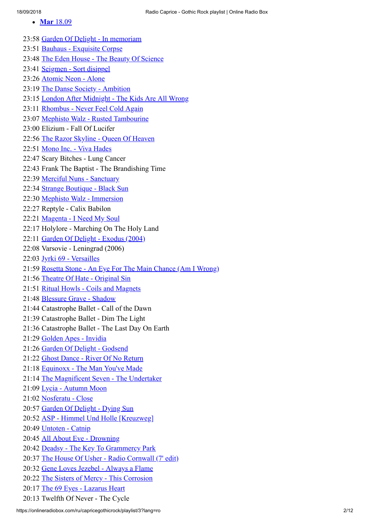**Mar** [18.09](https://onlineradiobox.com/ru/capricegothicrock/playlist/)

23:58 [Garden Of Delight - In memoriam](https://onlineradiobox.com/track/1297218775041185634/) 23:51 [Bauhaus - Exquisite Corpse](https://onlineradiobox.com/track/50096001/) 23:48 [The Eden House - The Beauty Of Science](https://onlineradiobox.com/track/504585240991974848/) 23:41 [Seigmen - Sort disippel](https://onlineradiobox.com/track/432580373866284604/) 23:26 [Atomic Neon - Alone](https://onlineradiobox.com/track/1873679540401331085/) 23:19 [The Danse Society - Ambition](https://onlineradiobox.com/track/2161839440382310908/) 23:15 [London After Midnight - The Kids Are All Wrong](https://onlineradiobox.com/track/1080993085866281684/) 23:11 [Rhombus - Never Feel Cold Again](https://onlineradiobox.com/track/1729564346617645304/) 23:07 [Mephisto Walz - Rusted Tambourine](https://onlineradiobox.com/track/1729458627670899598/) 23:00 Elizium - Fall Of Lucifer 22:56 [The Razor Skyline - Queen Of Heaven](https://onlineradiobox.com/track/432457137308714756/) 22:51 [Mono Inc. - Viva Hades](https://onlineradiobox.com/track/1729564345189170679/) 22:47 Scary Bitches - Lung Cancer 22:43 Frank The Baptist - The Brandishing Time 22:39 [Merciful Nuns - Sanctuary](https://onlineradiobox.com/track/1980763228963654581/) 22:34 [Strange Boutique - Black Sun](https://onlineradiobox.com/track/1098479857998373836/) 22:30 [Mephisto Walz - Immersion](https://onlineradiobox.com/track/1801621935397526675/) 22:27 Reptyle - Calix Babilon 22:21 [Magenta - I Need My Soul](https://onlineradiobox.com/track/1297218780061742399/) 22:17 Holylore - Marching On The Holy Land 22:11 [Garden Of Delight - Exodus \(2004\)](https://onlineradiobox.com/track/1225073028154832286/) 22:08 Varsovie - Leningrad (2006) 22:03 [Jyrki 69 - Versailles](https://onlineradiobox.com/track/1386710244500748480/) 21:59 [Rosetta Stone - An Eye For The Main Chance \(Am I Wrong\)](https://onlineradiobox.com/track/720758040031574384/) 21:56 [Theatre Of Hate - Original Sin](https://onlineradiobox.com/track/792815628139278325/) 21:51 [Ritual Howls - Coils and Magnets](https://onlineradiobox.com/track/1188129635232800120/) 21:48 [Blessure Grave - Shadow](https://onlineradiobox.com/track/2089852313155249749/) 21:44 Catastrophe Ballet - Call of the Dawn 21:39 Catastrophe Ballet - Dim The Light 21:36 Catastrophe Ballet - The Last Day On Earth 21:29 [Golden Apes - Invidia](https://onlineradiobox.com/track/936930808317560070/) 21:26 [Garden Of Delight - Godsend](https://onlineradiobox.com/track/1873679528041621639/) 21:22 [Ghost Dance - River Of No Return](https://onlineradiobox.com/track/360452381917996993/) 21:18 [Equinoxx - The Man You've Made](https://onlineradiobox.com/track/1729511433604186534/) 21:14 [The Magnificent Seven - The Undertaker](https://onlineradiobox.com/track/2233967503566893634/) 21:09 [Lycia - Autumn Moon](https://onlineradiobox.com/track/648700431144131556/) 21:02 [Nosferatu - Close](https://onlineradiobox.com/track/1873679419852234686/) 20:57 [Garden Of Delight - Dying Sun](https://onlineradiobox.com/track/144209143028186058/) 20:52 [ASP - Himmel Und Holle \[Kreuzweg\]](https://onlineradiobox.com/track/144297282547006952/) 20:49 [Untoten - Catnip](https://onlineradiobox.com/track/144367575319279863/) 20:45 [All About Eve - Drowning](https://onlineradiobox.com/track/1008988400488679749/) 20:42 [Deadsy - The Key To Grammercy Park](https://onlineradiobox.com/track/1153033130863602178/) 20:37 [The House Of Usher - Radio Cornwall \(7' edit\)](https://onlineradiobox.com/track/2161909905567658788/) 20:32 [Gene Loves Jezebel - Always a Flame](https://onlineradiobox.com/track/91174472/) 20:22 [The Sisters of Mercy - This Corrosion](https://onlineradiobox.com/track/1441175476004271663/) 20:17 [The 69 Eyes - Lazarus Heart](https://onlineradiobox.com/track/64269146/) 20:13 Twelfth Of Never - The Cycle